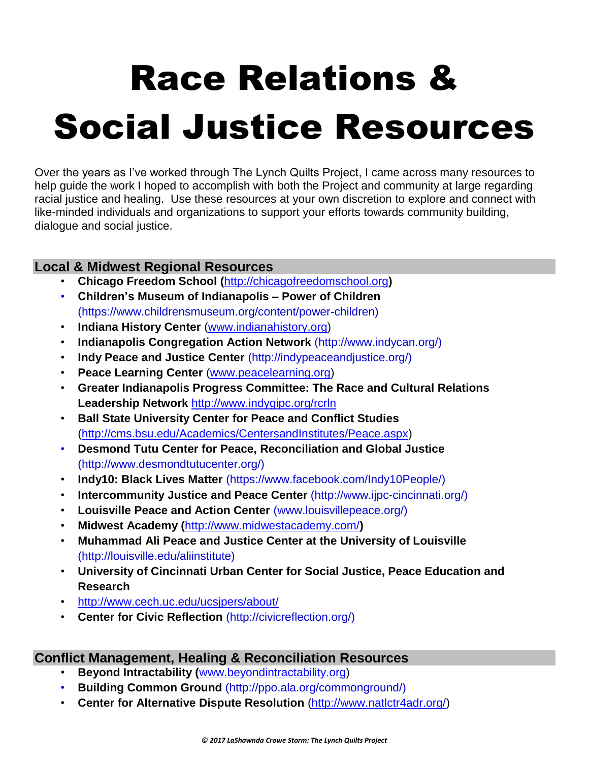# Race Relations & Social Justice Resources

Over the years as I've worked through The Lynch Quilts Project, I came across many resources to help guide the work I hoped to accomplish with both the Project and community at large regarding racial justice and healing. Use these resources at your own discretion to explore and connect with like-minded individuals and organizations to support your efforts towards community building, dialogue and social justice.

## **Local & Midwest Regional Resources**

- **Chicago Freedom School (**[http://chicagofreedomschool.org](http://chicagofreedomschool.org/what-we-do/training-and-organizing-3)**)**
- **Children's Museum of Indianapolis – Power of Children**  (https://www.childrensmuseum.org/content/power-children)
- **Indiana History Center** [\(www.indianahistory.org\)](http://www.indianahistory.org/)
- **Indianapolis Congregation Action Network** (http://www.indycan.org/)
- **Indy Peace and Justice Center** (http://indypeaceandjustice.org/)
- **Peace Learning Center** [\(www.peacelearning.org\)](http://www.peacelearning.org/)
- **Greater Indianapolis Progress Committee: The Race and Cultural Relations Leadership Network** <http://www.indygipc.org/rcrln>
- **Ball State University Center for Peace and Conflict Studies**  [\(http://cms.bsu.edu/Academics/CentersandInstitutes/Peace.aspx\)](http://cms.bsu.edu/Academics/CentersandInstitutes/Peace.aspx)
- **Desmond Tutu Center for Peace, Reconciliation and Global Justice**  (http://www.desmondtutucenter.org/)
- **Indy10: Black Lives Matter** (https://www.facebook.com/Indy10People/)
- **[Intercommunity](http://www.ijpc-cincinnati.org/) Justice and Peace Center** (http://www.ijpc-cincinnati.org/)
- **Louisville Peace and Action Center** (www.louisvillepeace.org/)
- **Midwest Academy (**<http://www.midwestacademy.com/>**)**
- **Muhammad Ali Peace and Justice Center at the University of Louisville**  (http://louisville.edu/aliinstitute)
- **University of Cincinnati Urban Center for Social Justice, Peace Education and Research**
- <http://www.cech.uc.edu/ucsjpers/about/>
- **Center for Civic Reflection** (http://civicreflection.org/)

## **Conflict Management, Healing & Reconciliation Resources**

- **Beyond Intractability (**[www.beyondintractability.org\)](http://www.beyondintractability.org/)
- **Building Common Ground** (http://ppo.ala.org/commonground/)
- **Center for Alternative Dispute Resolution** [\(http://www.natlctr4adr.org/\)](http://www.natlctr4adr.org/)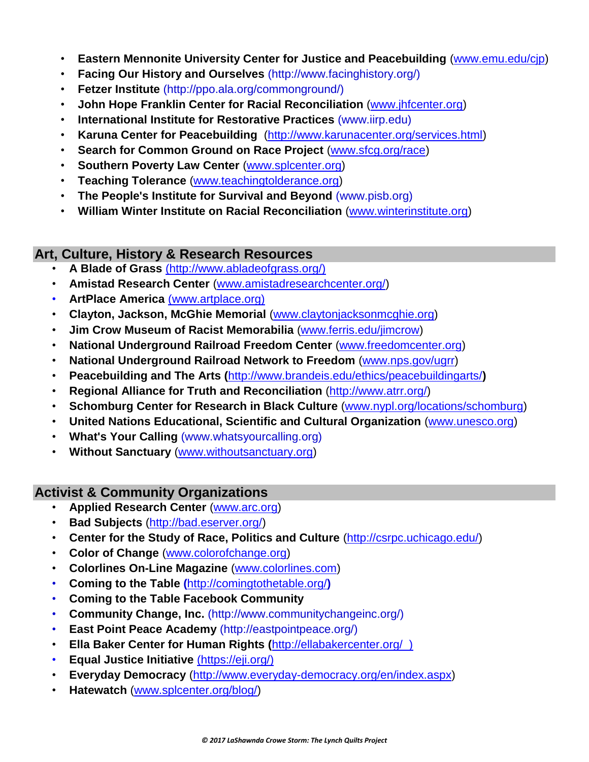- **Eastern Mennonite University Center for Justice and Peacebuilding** [\(www.emu.edu/cjp\)](http://www.emu.edu/cjp)
- **Facing Our History and Ourselves** (http://www.facinghistory.org/)
- **Fetzer Institute** (http://ppo.ala.org/commonground/)
- **John Hope Franklin Center for Racial Reconciliation** [\(www.jhfcenter.org\)](http://www.jhfcenter.org/)
- **International Institute for Restorative Practices** (www.iirp.edu)
- **Karuna Center for Peacebuilding** [\(http://www.karunacenter.org/services.html\)](http://www.karunacenter.org/services.html)
- **Search for Common Ground on Race Project** [\(www.sfcg.org/race\)](http://www.sfcg.org/race)
- **Southern Poverty Law Center [\(www.splcenter.org\)](http://www.splcenter.org/)**
- **Teaching Tolerance** [\(www.teachingtolderance.org\)](http://www.teachingtolderance.org/)
- **The People's Institute for Survival and Beyond** (www.pisb.org)
- **William Winter Institute on Racial Reconciliation** [\(www.winterinstitute.org\)](http://www.winterinstitute.org/)

## **Art, Culture, History & Research Resources**

- **A Blade of Grass** (http://www.abladeofgrass.org/)
- **Amistad Research Center** [\(www.amistadresearchcenter.org/\)](http://www.amistadresearchcenter.org/)
- **ArtPlace America** (www.artplace.org)
- **Clayton, Jackson, McGhie Memorial** [\(www.claytonjacksonmcghie.org\)](http://www.claytonjacksonmcghie.org/)
- **Jim Crow Museum of Racist Memorabilia** [\(www.ferris.edu/jimcrow\)](http://www.ferris.edu/jimcrow)
- **National Underground Railroad Freedom Center** [\(www.freedomcenter.org\)](http://www.freedomcenter.org/)
- **National Underground Railroad Network to Freedom** [\(www.nps.gov/ugrr\)](http://www.nps.gov/ugrr)
- **Peacebuilding and The Arts (**<http://www.brandeis.edu/ethics/peacebuildingarts/>**)**
- **Regional Alliance for Truth and Reconciliation** [\(http://www.atrr.org/\)](http://www.atrr.org/)
- **Schomburg Center for Research in Black Culture** [\(www.nypl.org/locations/schomburg\)](http://www.nypl.org/locations/schomburg)
- **United Nations Educational, Scientific and Cultural Organization** [\(www.unesco.org\)](http://www.unesco.org/)
- **What's Your Calling** (www.whatsyourcalling.org)
- **Without Sanctuary** [\(www.withoutsanctuary.org\)](http://www.withoutsanctuary.org/)

## **Activist & Community Organizations**

- **Applied Research Center** [\(www.arc.org\)](http://www.arc.org/)
- **Bad Subjects** [\(http://bad.eserver.org/\)](http://bad.eserver.org/)
- **Center for the Study of Race, Politics and Culture** [\(http://csrpc.uchicago.edu/\)](http://csrpc.uchicago.edu/)
- **Color of Change** [\(www.colorofchange.org\)](http://www.colorofchange.org/)
- **Colorlines On-Line Magazine** [\(www.colorlines.com\)](http://www.colorlines.com/)
- **Coming to the Table (**<http://comingtothetable.org/>**)**
- **Coming to the Table Facebook Community**
- **Community Change, Inc.** (http://www.communitychangeinc.org/)
- **East Point Peace Academy** (http://eastpointpeace.org/)
- **Ella Baker Center for Human Rights (**http://ellabakercenter.org/\_)
- **Equal Justice Initiative** (https://eji.org/)
- **Everyday Democracy** [\(http://www.everyday-democracy.org/en/index.aspx\)](http://www.everyday-democracy.org/en/index.aspx)
- **Hatewatch** [\(www.splcenter.org/blog/\)](http://www.splcenter.org/blog/)